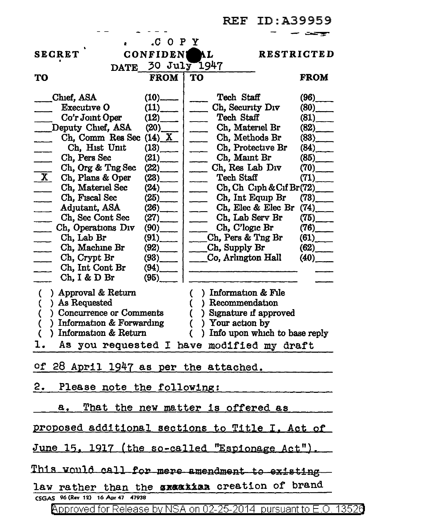REF ID:A39959

| .C O P Y                                                       |                                                           |                         |
|----------------------------------------------------------------|-----------------------------------------------------------|-------------------------|
| <b>SECRET</b><br><b>CONFIDEN</b>                               | <b>MAL</b>                                                | <b>RESTRICTED</b>       |
| DATE 30 July 1947                                              |                                                           |                         |
| <b>FROM</b><br>TO                                              | TO                                                        | <b>FROM</b>             |
|                                                                |                                                           |                         |
| Chief, ASA<br>$(10)$ <sub>------</sub>                         | Tech Staff                                                | $(96)$ <sub>____</sub>  |
| Executive O<br>(11)                                            | Ch, Security Div                                          | (80)                    |
| Co'r Joint Oper<br>(12)                                        | Tech Staff                                                | (81)                    |
| Deputy Chief, ASA<br>(20)                                      | Ch, Materiel Br                                           | (82)                    |
| Ch, Comm Res Sec $(14)$ X                                      | Ch, Methods Br                                            | $(83)$ <sub>____</sub>  |
| Ch, Hist Unit<br>(13)                                          | Ch, Protective Br<br>$\overline{\phantom{a}}$             | (84)                    |
| $(21)$ <sub>___</sub><br>Ch, Pers Sec                          | Ch, Maint Br<br>$\overline{\phantom{a}}$                  | (85)                    |
| (22)<br>Ch, Org & Tng Sec                                      | Ch, Res Lab Div<br>$\frac{1}{2}$                          | $(70)$ <sub>_____</sub> |
| X Ch, Plans & Oper<br>(23)                                     | Tech Staff<br>$\overline{\phantom{a}}$                    | (71)                    |
| Ch, Materiel Sec<br>(24)<br>$\frac{1}{2}$                      | $Ch, Ch$ Ciph & Cif Br $(72)$<br>$\overline{\phantom{a}}$ |                         |
| Ch, Fiscal Sec<br>(25)<br>$\overline{\phantom{a}}$             | Ch, Int Equip Br                                          | $(73)$ <sub>____</sub>  |
| Adjutant, ASA<br>(26)<br>$\sim 10^{-1}$                        | Ch, Elec & Elec Br                                        | (74)                    |
| Ch, Sec Cont Sec<br>(27)                                       | Ch, Lab Serv Br                                           | $(75)$ <sub>____</sub>  |
| Ch, Operations Div<br>$(90)$ <sub>___</sub>                    | Ch, C'logic Br                                            | (76)                    |
| $(91)$ <sub>____</sub><br>Ch, Lab Br                           | Ch, Pers & Tng Br                                         | (61)                    |
| Ch, Machine Br<br>(92)                                         | Ch, Supply Br                                             | (62)                    |
| Ch, Crypt Br<br>$(93)$ <sub>______</sub>                       | Co, Arlington Hall                                        | (40)                    |
| Ch, Int Cont Br<br>(94)                                        |                                                           |                         |
| Ch, I & D Br<br>(95)                                           |                                                           |                         |
| ) Approval & Return<br>$\overline{C}$                          | $\overline{C}$<br>) Information & File                    |                         |
| ) As Requested<br>(                                            | ) Recommendation<br>(                                     |                         |
| ) Concurrence or Comments<br>(                                 | ) Signature if approved<br>$\left($                       |                         |
| ) Information $&$ Forwarding<br>() Your action by<br>(         |                                                           |                         |
| ) Information & Return<br>) Info upon which to base reply<br>€ |                                                           |                         |
| ı.<br>As you requested I have modified my draft                |                                                           |                         |
|                                                                |                                                           |                         |
| of 28 April 1947 as per the attached.                          |                                                           |                         |
|                                                                |                                                           |                         |
| 2.<br>Please note the following:                               |                                                           |                         |
|                                                                |                                                           |                         |
| <u>That the new matter is offered as</u><br>$a_{\bullet}$      |                                                           |                         |
|                                                                |                                                           |                         |
| proposed additional sections to Title I. Act of                |                                                           |                         |
|                                                                |                                                           |                         |
| June 15, 1917 (the so-called "Espionage Act").                 |                                                           |                         |
|                                                                |                                                           |                         |
| This would call for mere amendment to existing                 |                                                           |                         |
|                                                                |                                                           |                         |
| law rather than the axaakian creation of brand                 |                                                           |                         |
| CSGAS 96 (Rev 12) 16 Apr 47 47938                              |                                                           |                         |
|                                                                |                                                           |                         |

Approved for Release by NSA on 02-25-2014 pursuant to E.O. 13526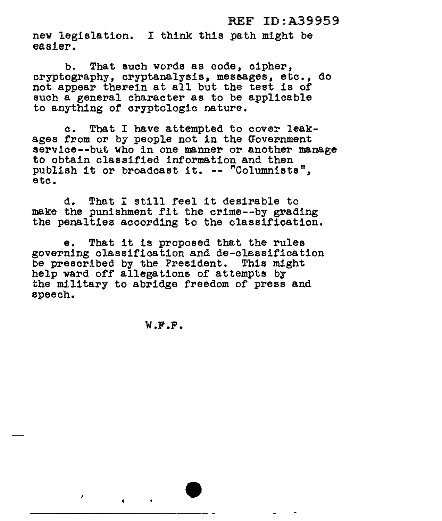## REF ID:A39959

new legislation. I think this path might be easier.

b. That such words as code, cipher,<br>cryptography. cryptanalysis, messages, etc., do not appear therein at all but the test is of such a general character as to be applicable to anything of cryptologic nature.

c. That I have attempted to cover leakages from or by people not in the Government service--but who in one manner or another manage to obtain classified information and then publish it or broadcast it. -- "Columnists", etc.

d. That I still feel it desirable to<br>make the punishment fit the crime--by grading the penalties according to the classification.

e. That it is proposed that the rules governing classification and de-classification be prescribed by the President. This might help ward off allegations of attempts by the military to abridge freedom of press and speech.

W.F.F.

 $\lambda$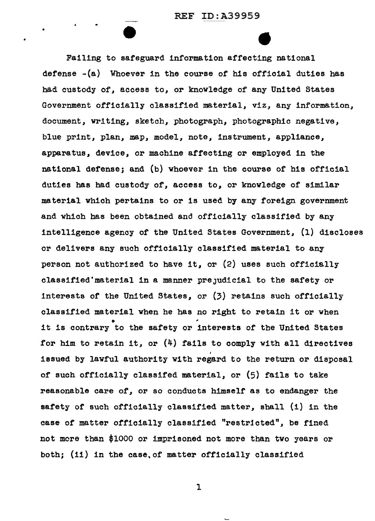•

Failing to safeguard information affecting national defense -(a) Whoever in the course of his official duties has had custody of, access to, or knowledge of any United States Government officially classified material. viz. any information. document, writing, sketch, photograph, photographic negative, blue print, plan, map, model, note, instrument, appliance, apparatus, device, or machine affecting or employed in the national defense; and (b) whoever in the course of his official duties has had custody of, access to, or knowledge of similar material which pertains to or is used by any foreign government and which has been obtained and officially classified by any intelligence agency of the United States Government,  $(1)$  discloses or delivers any such officially classified material to any person not authorized to have it, or (2) uses such officially classified'material in a manner preJudicial to the safety or interests of the United States, or  $(3)$  retains such officially classified material when he has no right to retain it or when it is contrary to the safety or interests of the United States for him to retain it, or (4) fails to comply with all directives I issued by lawful authority with regard to the return or disposal of such officially classifed material, or (5) fails to take reasonable care of, or so conducts himself as to endanger the safety of such officially classified matter, shall  $(1)$  in the case of matter officially classified "restricted", be fined not more than \$1000 or imprisoned not more than two years or both; (ii) in the case, of matter officially classified

1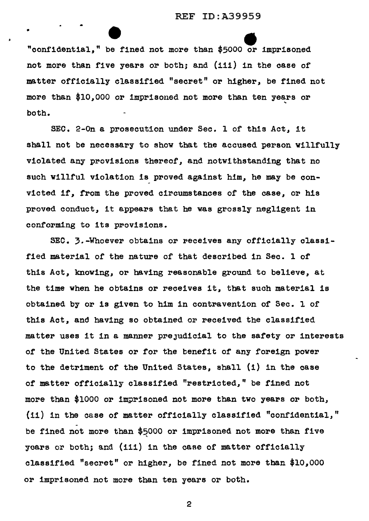## REF ID:A39959

"confidential," be fined not more than \$5000 or imprisoned not more than five years or both; and (iii) in the case of matter officially classified "secret" or higher, be fined not more than \$10,000 or imprisoned not more than ten years or both.

•

SEC. 2-0n a prosecution under Sec. l of this Act, it shall not be necessary to show that the accused person willfully violated any provisions thereof, and notwithstanding that no such willful violation is proved against him, he may be convicted if, from the proved circumstances of the case, or his proved conduct, it appears that he was grossly negligent in conforming to its provisions.

SEC. 3.-Whoever obtains or receives any officially classified material of the nature of that described in Sec. l of this Act, knowing, or having reasonable ground to believe, at the time when he obtains or receives it, that such material is obtained by or is given to him in contravention of Sec. l of this Act, and having so obtained or received the classified matter uses it in a manner preJudicial to the safety or interests of the United States or for the benefit of any foreign power to the detriment of the United States, shall (i) in the case of matter officially classified "restricted," be fined not more than \$1000 or imprisoned not more than two years or both, (ii) in the case of matter officially classified "confidential," be fined not more than  $$5000$  or imprisoned not more than five years or both; and (iii) in the case of matter officially classified "secret" or higher, be fined not more than \$10,000 or imprisoned not more than ten years or both.

2